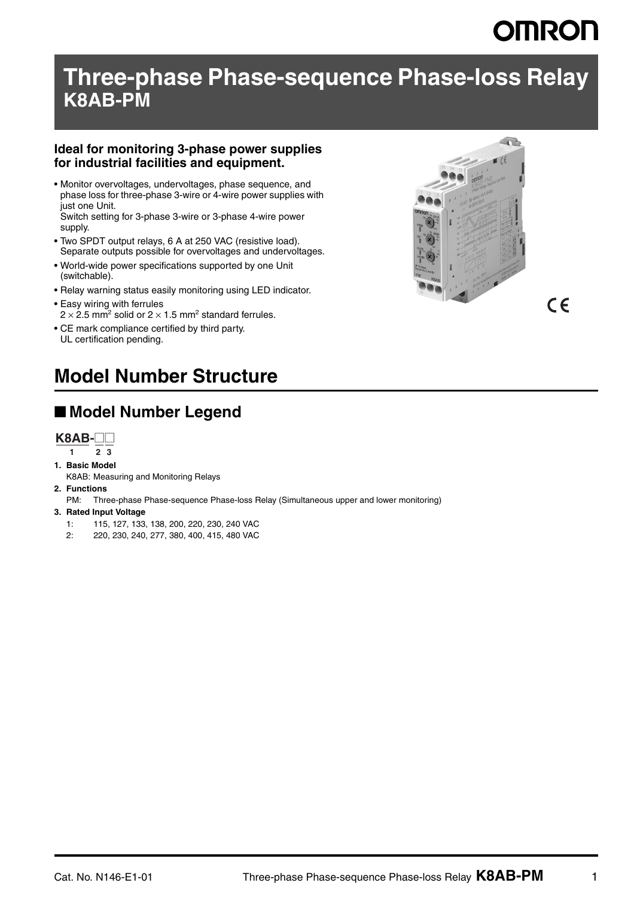# **OMRON**

 $\epsilon$ 

## **Three-phase Phase-sequence Phase-loss Relay K8AB-PM**

#### **Ideal for monitoring 3-phase power supplies for industrial facilities and equipment.**

• Monitor overvoltages, undervoltages, phase sequence, and phase loss for three-phase 3-wire or 4-wire power supplies with just one Unit. Switch setting for 3-phase 3-wire or 3-phase 4-wire power

supply.

- Two SPDT output relays, 6 A at 250 VAC (resistive load). Separate outputs possible for overvoltages and undervoltages.
- World-wide power specifications supported by one Unit (switchable).
- Relay warning status easily monitoring using LED indicator.
- Easy wiring with ferrules  $2 \times 2.5$  mm<sup>2</sup> solid or  $2 \times 1.5$  mm<sup>2</sup> standard ferrules.
- CE mark compliance certified by third party. UL certification pending.



## **Model Number Structure**

## ■ **Model Number Legend**



- **1 23**
- **1. Basic Model**

K8AB: Measuring and Monitoring Relays

- **2. Functions**
	- PM: Three-phase Phase-sequence Phase-loss Relay (Simultaneous upper and lower monitoring)
- **3. Rated Input Voltage**
	- 1: 115, 127, 133, 138, 200, 220, 230, 240 VAC
	- 2: 220, 230, 240, 277, 380, 400, 415, 480 VAC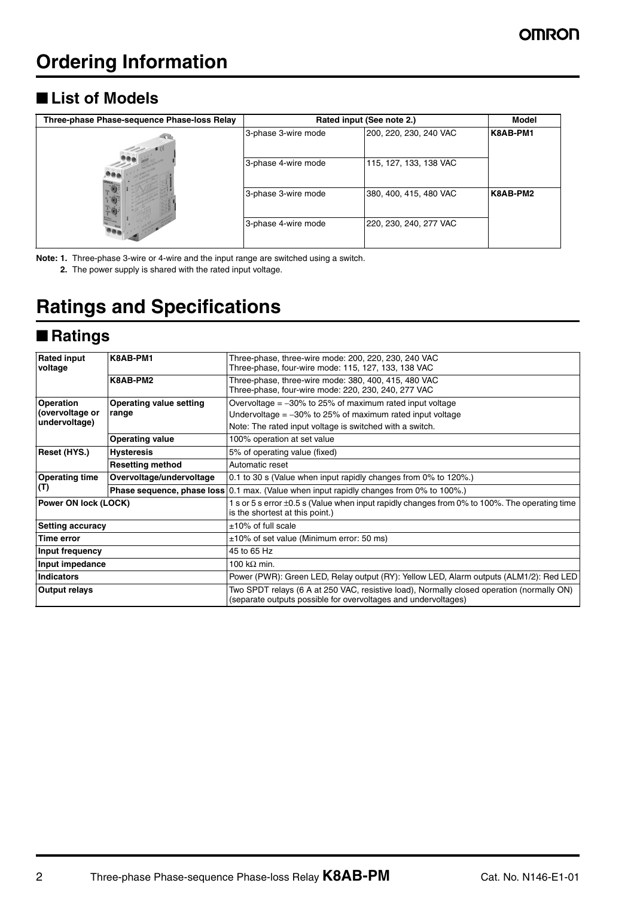## ■ **List of Models**

| Three-phase Phase-sequence Phase-loss Relay | Rated input (See note 2.) | Model                  |          |
|---------------------------------------------|---------------------------|------------------------|----------|
|                                             | 3-phase 3-wire mode       | 200, 220, 230, 240 VAC | K8AB-PM1 |
|                                             | 3-phase 4-wire mode       | 115, 127, 133, 138 VAC |          |
|                                             | 3-phase 3-wire mode       | 380, 400, 415, 480 VAC | K8AB-PM2 |
|                                             | 3-phase 4-wire mode       | 220, 230, 240, 277 VAC |          |

**Note: 1.** Three-phase 3-wire or 4-wire and the input range are switched using a switch.

**2.** The power supply is shared with the rated input voltage.

## **Ratings and Specifications**

### ■ **Ratings**

| <b>Rated input</b>      | K8AB-PM1                 | Three-phase, three-wire mode: 200, 220, 230, 240 VAC                                                                                                        |  |  |  |  |
|-------------------------|--------------------------|-------------------------------------------------------------------------------------------------------------------------------------------------------------|--|--|--|--|
| voltage                 |                          | Three-phase, four-wire mode: 115, 127, 133, 138 VAC                                                                                                         |  |  |  |  |
|                         | K8AB-PM2                 | Three-phase, three-wire mode: 380, 400, 415, 480 VAC                                                                                                        |  |  |  |  |
|                         |                          | Three-phase, four-wire mode: 220, 230, 240, 277 VAC                                                                                                         |  |  |  |  |
|                         |                          |                                                                                                                                                             |  |  |  |  |
| <b>Operation</b>        | Operating value setting  | Overvoltage $=$ -30% to 25% of maximum rated input voltage                                                                                                  |  |  |  |  |
| (overvoltage or         | range                    | Undervoltage $=$ -30% to 25% of maximum rated input voltage                                                                                                 |  |  |  |  |
| undervoltage)           |                          | Note: The rated input voltage is switched with a switch.                                                                                                    |  |  |  |  |
|                         | <b>Operating value</b>   | 100% operation at set value                                                                                                                                 |  |  |  |  |
| Reset (HYS.)            | <b>Hysteresis</b>        | 5% of operating value (fixed)                                                                                                                               |  |  |  |  |
|                         | <b>Resetting method</b>  | Automatic reset                                                                                                                                             |  |  |  |  |
| <b>Operating time</b>   | Overvoltage/undervoltage | 0.1 to 30 s (Value when input rapidly changes from 0% to 120%.)                                                                                             |  |  |  |  |
| (T)                     |                          | <b>Phase sequence, phase loss</b> 0.1 max. (Value when input rapidly changes from 0% to 100%.)                                                              |  |  |  |  |
| Power ON lock (LOCK)    |                          | 1 s or 5 s error ±0.5 s (Value when input rapidly changes from 0% to 100%. The operating time<br>is the shortest at this point.)                            |  |  |  |  |
| <b>Setting accuracy</b> |                          | $±10\%$ of full scale                                                                                                                                       |  |  |  |  |
| Time error              |                          | $\pm 10\%$ of set value (Minimum error: 50 ms)                                                                                                              |  |  |  |  |
| Input frequency         |                          | 45 to 65 Hz                                                                                                                                                 |  |  |  |  |
| Input impedance         |                          | 100 k $\Omega$ min.                                                                                                                                         |  |  |  |  |
| <b>Indicators</b>       |                          | Power (PWR): Green LED, Relay output (RY): Yellow LED, Alarm outputs (ALM1/2): Red LED                                                                      |  |  |  |  |
| <b>Output relays</b>    |                          | Two SPDT relays (6 A at 250 VAC, resistive load), Normally closed operation (normally ON)<br>(separate outputs possible for overvoltages and undervoltages) |  |  |  |  |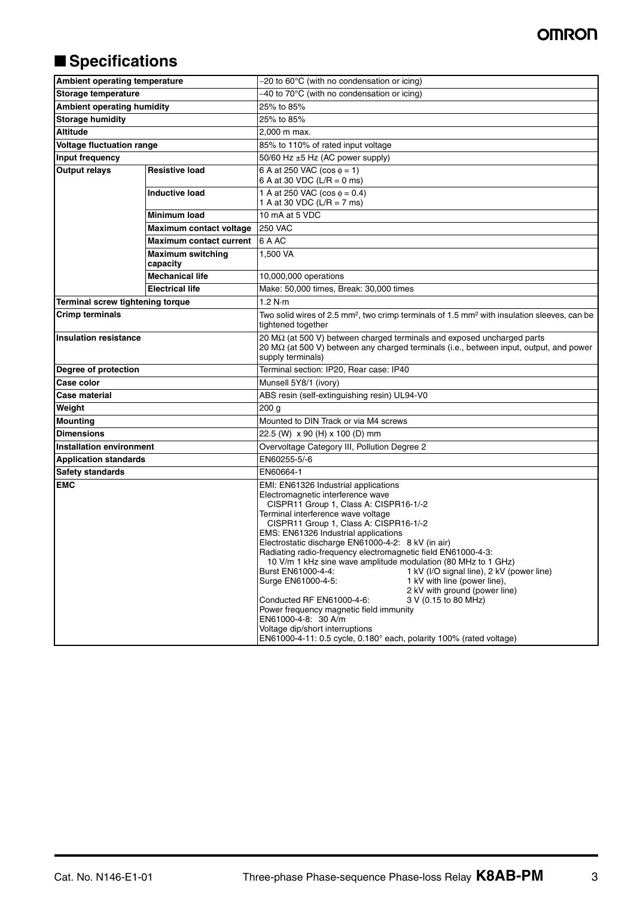### **OMRON**

## ■ **Specifications**

| Ambient operating temperature     |                                      | -20 to 60°C (with no condensation or icing)                                                                                                                                                                                                                                                                                                                                                                                                                                                                                                                                                                                                                                                                                                                                                                                            |  |  |  |  |
|-----------------------------------|--------------------------------------|----------------------------------------------------------------------------------------------------------------------------------------------------------------------------------------------------------------------------------------------------------------------------------------------------------------------------------------------------------------------------------------------------------------------------------------------------------------------------------------------------------------------------------------------------------------------------------------------------------------------------------------------------------------------------------------------------------------------------------------------------------------------------------------------------------------------------------------|--|--|--|--|
| Storage temperature               |                                      | -40 to 70°C (with no condensation or icing)                                                                                                                                                                                                                                                                                                                                                                                                                                                                                                                                                                                                                                                                                                                                                                                            |  |  |  |  |
| <b>Ambient operating humidity</b> |                                      | 25% to 85%                                                                                                                                                                                                                                                                                                                                                                                                                                                                                                                                                                                                                                                                                                                                                                                                                             |  |  |  |  |
| <b>Storage humidity</b>           |                                      | 25% to 85%                                                                                                                                                                                                                                                                                                                                                                                                                                                                                                                                                                                                                                                                                                                                                                                                                             |  |  |  |  |
| <b>Altitude</b>                   |                                      | 2.000 m max.                                                                                                                                                                                                                                                                                                                                                                                                                                                                                                                                                                                                                                                                                                                                                                                                                           |  |  |  |  |
| Voltage fluctuation range         |                                      | 85% to 110% of rated input voltage                                                                                                                                                                                                                                                                                                                                                                                                                                                                                                                                                                                                                                                                                                                                                                                                     |  |  |  |  |
| Input frequency                   |                                      | 50/60 Hz ±5 Hz (AC power supply)                                                                                                                                                                                                                                                                                                                                                                                                                                                                                                                                                                                                                                                                                                                                                                                                       |  |  |  |  |
| <b>Output relays</b>              | <b>Resistive load</b>                | 6 A at 250 VAC ( $\cos \phi = 1$ )<br>6 A at 30 VDC (L/R = 0 ms)                                                                                                                                                                                                                                                                                                                                                                                                                                                                                                                                                                                                                                                                                                                                                                       |  |  |  |  |
|                                   | <b>Inductive load</b>                | 1 A at 250 VAC ( $\cos \phi = 0.4$ )<br>1 A at 30 VDC (L/R = 7 ms)                                                                                                                                                                                                                                                                                                                                                                                                                                                                                                                                                                                                                                                                                                                                                                     |  |  |  |  |
|                                   | <b>Minimum load</b>                  | 10 mA at 5 VDC                                                                                                                                                                                                                                                                                                                                                                                                                                                                                                                                                                                                                                                                                                                                                                                                                         |  |  |  |  |
|                                   | Maximum contact voltage              | <b>250 VAC</b>                                                                                                                                                                                                                                                                                                                                                                                                                                                                                                                                                                                                                                                                                                                                                                                                                         |  |  |  |  |
|                                   | <b>Maximum contact current</b>       | 6 A AC                                                                                                                                                                                                                                                                                                                                                                                                                                                                                                                                                                                                                                                                                                                                                                                                                                 |  |  |  |  |
|                                   | <b>Maximum switching</b><br>capacity | 1,500 VA                                                                                                                                                                                                                                                                                                                                                                                                                                                                                                                                                                                                                                                                                                                                                                                                                               |  |  |  |  |
|                                   | <b>Mechanical life</b>               | 10,000,000 operations                                                                                                                                                                                                                                                                                                                                                                                                                                                                                                                                                                                                                                                                                                                                                                                                                  |  |  |  |  |
|                                   | <b>Electrical life</b>               | Make: 50,000 times, Break: 30,000 times                                                                                                                                                                                                                                                                                                                                                                                                                                                                                                                                                                                                                                                                                                                                                                                                |  |  |  |  |
| Terminal screw tightening torque  |                                      | 1.2 N·m                                                                                                                                                                                                                                                                                                                                                                                                                                                                                                                                                                                                                                                                                                                                                                                                                                |  |  |  |  |
| <b>Crimp terminals</b>            |                                      | Two solid wires of 2.5 mm <sup>2</sup> , two crimp terminals of 1.5 mm <sup>2</sup> with insulation sleeves, can be<br>tightened together                                                                                                                                                                                                                                                                                                                                                                                                                                                                                                                                                                                                                                                                                              |  |  |  |  |
| <b>Insulation resistance</b>      |                                      | 20 $\text{M}\Omega$ (at 500 V) between charged terminals and exposed uncharged parts<br>20 M $\Omega$ (at 500 V) between any charged terminals (i.e., between input, output, and power<br>supply terminals)                                                                                                                                                                                                                                                                                                                                                                                                                                                                                                                                                                                                                            |  |  |  |  |
| Degree of protection              |                                      | Terminal section: IP20, Rear case: IP40                                                                                                                                                                                                                                                                                                                                                                                                                                                                                                                                                                                                                                                                                                                                                                                                |  |  |  |  |
| Case color                        |                                      | Munsell 5Y8/1 (ivory)                                                                                                                                                                                                                                                                                                                                                                                                                                                                                                                                                                                                                                                                                                                                                                                                                  |  |  |  |  |
| <b>Case material</b>              |                                      | ABS resin (self-extinguishing resin) UL94-V0                                                                                                                                                                                                                                                                                                                                                                                                                                                                                                                                                                                                                                                                                                                                                                                           |  |  |  |  |
| Weight                            |                                      | 200 g                                                                                                                                                                                                                                                                                                                                                                                                                                                                                                                                                                                                                                                                                                                                                                                                                                  |  |  |  |  |
| <b>Mounting</b>                   |                                      | Mounted to DIN Track or via M4 screws                                                                                                                                                                                                                                                                                                                                                                                                                                                                                                                                                                                                                                                                                                                                                                                                  |  |  |  |  |
| <b>Dimensions</b>                 |                                      | 22.5 (W) x 90 (H) x 100 (D) mm                                                                                                                                                                                                                                                                                                                                                                                                                                                                                                                                                                                                                                                                                                                                                                                                         |  |  |  |  |
| <b>Installation environment</b>   |                                      | Overvoltage Category III, Pollution Degree 2                                                                                                                                                                                                                                                                                                                                                                                                                                                                                                                                                                                                                                                                                                                                                                                           |  |  |  |  |
| <b>Application standards</b>      |                                      | EN60255-5/-6                                                                                                                                                                                                                                                                                                                                                                                                                                                                                                                                                                                                                                                                                                                                                                                                                           |  |  |  |  |
| Safety standards                  |                                      | EN60664-1                                                                                                                                                                                                                                                                                                                                                                                                                                                                                                                                                                                                                                                                                                                                                                                                                              |  |  |  |  |
| <b>EMC</b>                        |                                      | EMI: EN61326 Industrial applications<br>Electromagnetic interference wave<br>CISPR11 Group 1, Class A: CISPR16-1/-2<br>Terminal interference wave voltage<br>CISPR11 Group 1, Class A: CISPR16-1/-2<br>EMS: EN61326 Industrial applications<br>Electrostatic discharge EN61000-4-2: 8 kV (in air)<br>Radiating radio-frequency electromagnetic field EN61000-4-3:<br>10 V/m 1 kHz sine wave amplitude modulation (80 MHz to 1 GHz)<br>Burst EN61000-4-4:<br>1 kV (I/O signal line), 2 kV (power line)<br>Surge EN61000-4-5:<br>1 kV with line (power line),<br>2 kV with ground (power line)<br>3 V (0.15 to 80 MHz)<br>Conducted RF EN61000-4-6:<br>Power frequency magnetic field immunity<br>EN61000-4-8: 30 A/m<br>Voltage dip/short interruptions<br>$EN61000-4-11: 0.5$ cycle, $0.180^\circ$ each, polarity 100% (rated voltage) |  |  |  |  |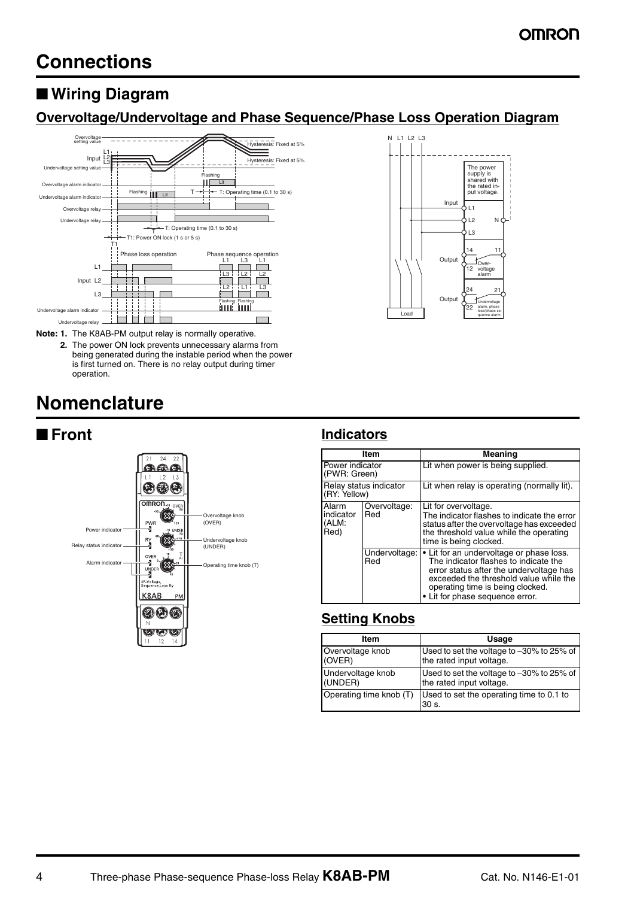## ■ **Wiring Diagram**

### **Overvoltage/Undervoltage and Phase Sequence/Phase Loss Operation Diagram**



**Note: 1.** The K8AB-PM output relay is normally operative.

**2.** The power ON lock prevents unnecessary alarms from being generated during the instable period when the power is first turned on. There is no relay output during timer operation.

## **Nomenclature**



| Item                                   |                      | Meaning                                                                                                                                                                                                                                       |  |  |  |
|----------------------------------------|----------------------|-----------------------------------------------------------------------------------------------------------------------------------------------------------------------------------------------------------------------------------------------|--|--|--|
| Power indicator<br>(PWR: Green)        |                      | Lit when power is being supplied.                                                                                                                                                                                                             |  |  |  |
| Relay status indicator<br>(RY: Yellow) |                      | Lit when relay is operating (normally lit).                                                                                                                                                                                                   |  |  |  |
| Alarm<br>indicator<br>(ALM:<br>Red)    | Overvoltage:<br>Red  | Lit for overvoltage.<br>The indicator flashes to indicate the error<br>status after the overvoltage has exceeded<br>the threshold value while the operating<br>time is being clocked.                                                         |  |  |  |
|                                        | Undervoltage:<br>Red | • Lit for an undervoltage or phase loss.<br>The indicator flashes to indicate the<br>error status after the undervoltage has<br>exceeded the threshold value while the<br>operating time is being clocked.<br>• Lit for phase sequence error. |  |  |  |

Input

 $11$  $\overline{2}$  $\overline{3}$ 

> 14  $12$

24 22

The power supply is shared with the rated in-put voltage.

N

11

Over-voltage alarm

Undervoltage alarm, phase loss/phase sequence alarm

21

N L1 L2 L3

Load

Output

Outpu

### **Setting Knobs**

| Item                    | Usage                                                       |  |  |  |
|-------------------------|-------------------------------------------------------------|--|--|--|
| Overvoltage knob        | Used to set the voltage to -30% to 25% of                   |  |  |  |
| (OVER)                  | the rated input voltage.                                    |  |  |  |
| Undervoltage knob       | Used to set the voltage to -30% to 25% of                   |  |  |  |
| (UNDER)                 | the rated input voltage.                                    |  |  |  |
| Operating time knob (T) | Used to set the operating time to 0.1 to<br>30 <sub>s</sub> |  |  |  |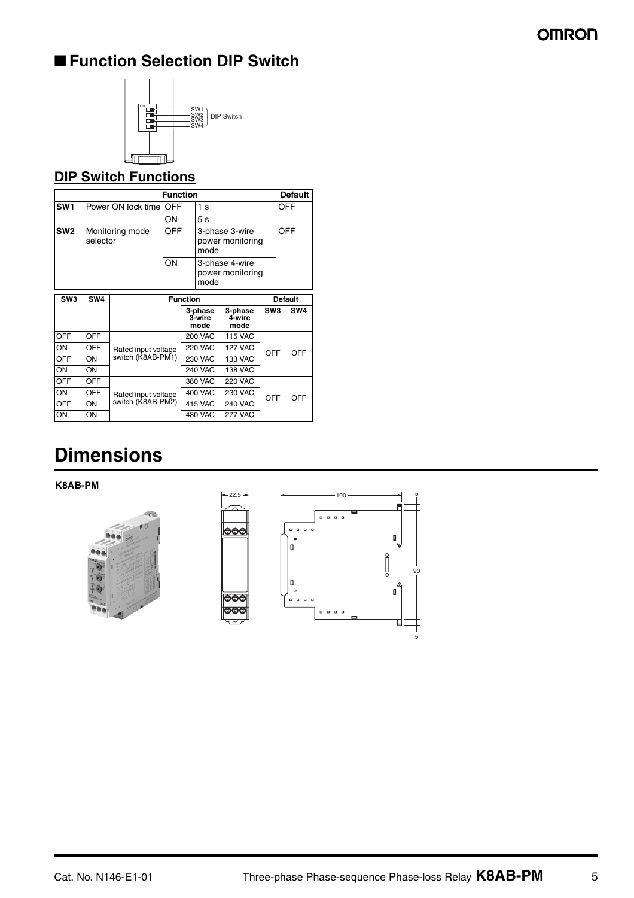## ■ **Function Selection DIP Switch**



### **DIP Switch Functions**

|                 | <b>Function</b>               |                     |                                                          |                                  |                                            | <b>Default</b>            |                 |     |     |
|-----------------|-------------------------------|---------------------|----------------------------------------------------------|----------------------------------|--------------------------------------------|---------------------------|-----------------|-----|-----|
| SW <sub>1</sub> | Power ON lock time <b>OFF</b> | 1 <sub>s</sub>      |                                                          |                                  | OFF                                        |                           |                 |     |     |
|                 |                               |                     | ON                                                       |                                  | 5s                                         |                           |                 |     |     |
| SW <sub>2</sub> | Monitoring mode<br>selector   |                     | <b>OFF</b><br>3-phase 3-wire<br>power monitoring<br>mode |                                  |                                            | <b>OFF</b>                |                 |     |     |
|                 |                               |                     |                                                          |                                  | 3-phase 4-wire<br>power monitoring<br>mode |                           |                 |     |     |
| SW <sub>3</sub> | SW <sub>4</sub>               | <b>Function</b>     |                                                          |                                  |                                            |                           | <b>Default</b>  |     |     |
|                 |                               |                     |                                                          |                                  | 3-phase<br>3-wire<br>mode                  | 3-phase<br>4-wire<br>mode | SW <sub>3</sub> |     | SW4 |
| <b>OFF</b>      | OFF                           |                     |                                                          |                                  | <b>200 VAC</b>                             | <b>115 VAC</b>            |                 |     |     |
| ON              | OFF                           | Rated input voltage |                                                          | <b>220 VAC</b><br><b>127 VAC</b> |                                            |                           | OFF             | OFF |     |
| OFF             | ON                            | switch (K8AB-PM1)   |                                                          |                                  | <b>230 VAC</b>                             | <b>133 VAC</b>            |                 |     |     |
| ON              | ON                            |                     |                                                          |                                  | <b>240 VAC</b>                             | <b>138 VAC</b>            |                 |     |     |
| OFF             | OFF                           |                     |                                                          | 380 VAC                          |                                            | <b>220 VAC</b>            |                 |     |     |
| ON              | <b>OFF</b>                    | Rated input voltage |                                                          |                                  | <b>400 VAC</b>                             | <b>230 VAC</b>            | OFF             |     | OFF |
| <b>OFF</b>      | ON                            | switch (K8AB-PM2)   |                                                          |                                  | 415 VAC                                    | <b>240 VAC</b>            |                 |     |     |
| ON              | ON                            |                     |                                                          |                                  | 480 VAC                                    | <b>277 VAC</b>            |                 |     |     |

# **Dimensions**

**K8AB-PM**



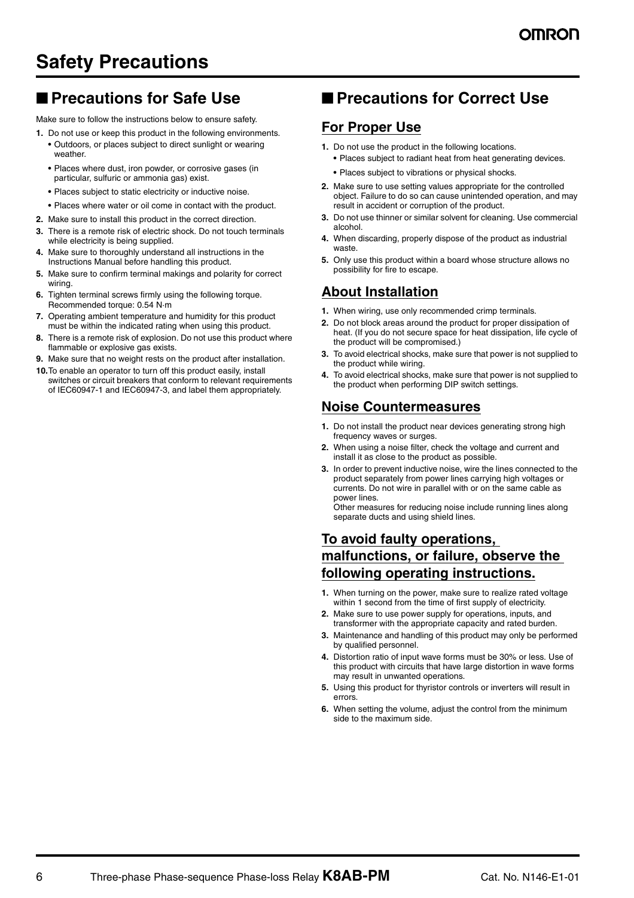## **Safety Precautions**

## ■ **Precautions for Safe Use**

Make sure to follow the instructions below to ensure safety.

- **1.** Do not use or keep this product in the following environments. **•** Outdoors, or places subject to direct sunlight or wearing weather.
	- **•** Places where dust, iron powder, or corrosive gases (in particular, sulfuric or ammonia gas) exist.
	- **•** Places subject to static electricity or inductive noise.
	- **•** Places where water or oil come in contact with the product.
- **2.** Make sure to install this product in the correct direction.
- **3.** There is a remote risk of electric shock. Do not touch terminals while electricity is being supplied.
- **4.** Make sure to thoroughly understand all instructions in the Instructions Manual before handling this product.
- **5.** Make sure to confirm terminal makings and polarity for correct wiring.
- **6.** Tighten terminal screws firmly using the following torque. Recommended torque: 0.54 N·m
- **7.** Operating ambient temperature and humidity for this product must be within the indicated rating when using this product.
- **8.** There is a remote risk of explosion. Do not use this product where flammable or explosive gas exists.
- **9.** Make sure that no weight rests on the product after installation.
- **10.**To enable an operator to turn off this product easily, install switches or circuit breakers that conform to relevant requirements of IEC60947-1 and IEC60947-3, and label them appropriately.

### ■ **Precautions for Correct Use**

### **For Proper Use**

- **1.** Do not use the product in the following locations.
	- **•** Places subject to radiant heat from heat generating devices.
	- **•** Places subject to vibrations or physical shocks.
- **2.** Make sure to use setting values appropriate for the controlled object. Failure to do so can cause unintended operation, and may result in accident or corruption of the product.
- **3.** Do not use thinner or similar solvent for cleaning. Use commercial alcohol.
- **4.** When discarding, properly dispose of the product as industrial waste.
- **5.** Only use this product within a board whose structure allows no possibility for fire to escape.

### **About Installation**

- **1.** When wiring, use only recommended crimp terminals.
- **2.** Do not block areas around the product for proper dissipation of heat. (If you do not secure space for heat dissipation, life cycle of the product will be compromised.)
- **3.** To avoid electrical shocks, make sure that power is not supplied to the product while wiring.
- **4.** To avoid electrical shocks, make sure that power is not supplied to the product when performing DIP switch settings.

### **Noise Countermeasures**

- **1.** Do not install the product near devices generating strong high frequency waves or surges.
- **2.** When using a noise filter, check the voltage and current and install it as close to the product as possible.
- **3.** In order to prevent inductive noise, wire the lines connected to the product separately from power lines carrying high voltages or currents. Do not wire in parallel with or on the same cable as power lines.

Other measures for reducing noise include running lines along separate ducts and using shield lines.

### **To avoid faulty operations, malfunctions, or failure, observe the following operating instructions.**

- **1.** When turning on the power, make sure to realize rated voltage within 1 second from the time of first supply of electricity.
- **2.** Make sure to use power supply for operations, inputs, and transformer with the appropriate capacity and rated burden.
- **3.** Maintenance and handling of this product may only be performed by qualified personnel.
- **4.** Distortion ratio of input wave forms must be 30% or less. Use of this product with circuits that have large distortion in wave forms may result in unwanted operations.
- **5.** Using this product for thyristor controls or inverters will result in errors.
- **6.** When setting the volume, adjust the control from the minimum side to the maximum side.